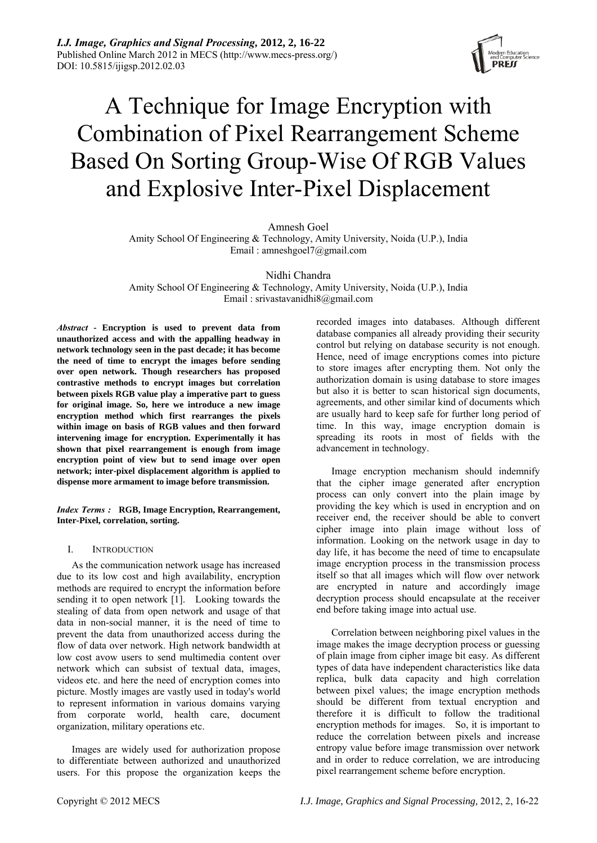

# A Technique for Image Encryption with Combination of Pixel Rearrangement Scheme Based On Sorting Group-Wise Of RGB Values and Explosive Inter-Pixel Displacement

Amnesh Goel

Amity School Of Engineering & Technology, Amity University, Noida (U.P.), India Email : [amneshgoel7@gmail.com](mailto:amneshgoel7@gmail.com) 

Nidhi Chandra

Amity School Of Engineering & Technology, Amity University, Noida (U.P.), India Email : srivastavanidhi8@gmail.com

*Abstract* **- Encryption is used to prevent data from unauthorized access and with the appalling headway in network technology seen in the past decade; it has become the need of time to encrypt the images before sending over open network. Though researchers has proposed contrastive methods to encrypt images but correlation between pixels RGB value play a imperative part to guess for original image. So, here we introduce a new image encryption method which first rearranges the pixels within image on basis of RGB values and then forward intervening image for encryption. Experimentally it has shown that pixel rearrangement is enough from image encryption point of view but to send image over open network; inter-pixel displacement algorithm is applied to dispense more armament to image before transmission.**

*Index Terms :* **RGB, Image Encryption, Rearrangement, Inter-Pixel, correlation, sorting.** 

## I. INTRODUCTION

As the communication network usage has increased due to its low cost and high availability, encryption methods are required to encrypt the information before sending it to open network [1]. Looking towards the stealing of data from open network and usage of that data in non-social manner, it is the need of time to prevent the data from unauthorized access during the flow of data over network. High network bandwidth at low cost avow users to send multimedia content over network which can subsist of textual data, images, videos etc. and here the need of encryption comes into picture. Mostly images are vastly used in today's world to represent information in various domains varying from corporate world, health care, document organization, military operations etc.

Images are widely used for authorization propose to differentiate between authorized and unauthorized users. For this propose the organization keeps the recorded images into databases. Although different database companies all already providing their security control but relying on database security is not enough. Hence, need of image encryptions comes into picture to store images after encrypting them. Not only the authorization domain is using database to store images but also it is better to scan historical sign documents, agreements, and other similar kind of documents which are usually hard to keep safe for further long period of time. In this way, image encryption domain is spreading its roots in most of fields with the advancement in technology.

Image encryption mechanism should indemnify that the cipher image generated after encryption process can only convert into the plain image by providing the key which is used in encryption and on receiver end, the receiver should be able to convert cipher image into plain image without loss of information. Looking on the network usage in day to day life, it has become the need of time to encapsulate image encryption process in the transmission process itself so that all images which will flow over network are encrypted in nature and accordingly image decryption process should encapsulate at the receiver end before taking image into actual use.

Correlation between neighboring pixel values in the image makes the image decryption process or guessing of plain image from cipher image bit easy. As different types of data have independent characteristics like data replica, bulk data capacity and high correlation between pixel values; the image encryption methods should be different from textual encryption and therefore it is difficult to follow the traditional encryption methods for images. So, it is important to reduce the correlation between pixels and increase entropy value before image transmission over network and in order to reduce correlation, we are introducing pixel rearrangement scheme before encryption.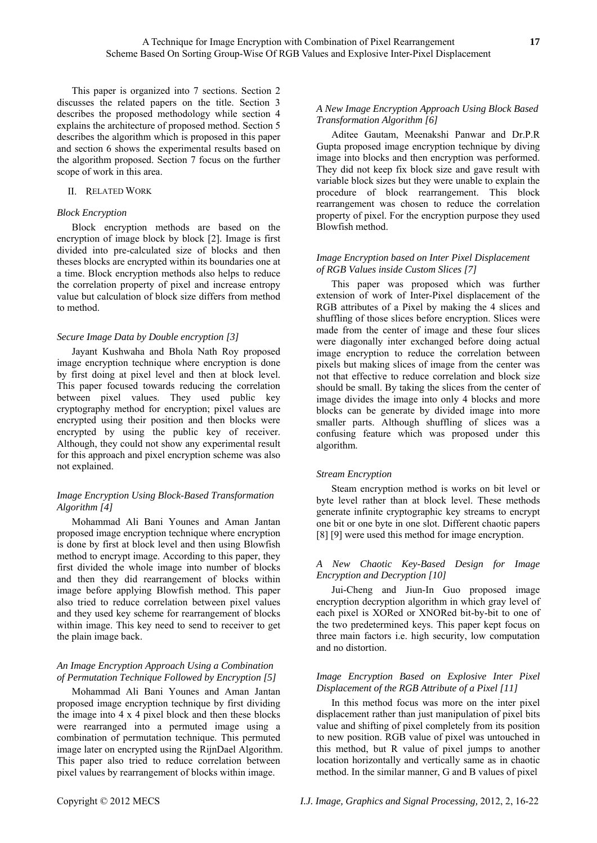This paper is organized into 7 sections. Section 2 discusses the related papers on the title. Section 3 describes the proposed methodology while section 4 explains the architecture of proposed method. Section 5 describes the algorithm which is proposed in this paper and section 6 shows the experimental results based on the algorithm proposed. Section 7 focus on the further scope of work in this area.

#### II. RELATED WORK

## *Block Encryption*

Block encryption methods are based on the encryption of image block by block [2]. Image is first divided into pre-calculated size of blocks and then theses blocks are encrypted within its boundaries one at a time. Block encryption methods also helps to reduce the correlation property of pixel and increase entropy value but calculation of block size differs from method to method.

## *Secure Image Data by Double encryption [3]*

Jayant Kushwaha and Bhola Nath Roy proposed image encryption technique where encryption is done by first doing at pixel level and then at block level. This paper focused towards reducing the correlation between pixel values. They used public key cryptography method for encryption; pixel values are encrypted using their position and then blocks were encrypted by using the public key of receiver. Although, they could not show any experimental result for this approach and pixel encryption scheme was also not explained.

## *Image Encryption Using Block-Based Transformation Algorithm [4]*

Mohammad Ali Bani Younes and Aman Jantan proposed image encryption technique where encryption is done by first at block level and then using Blowfish method to encrypt image. According to this paper, they first divided the whole image into number of blocks and then they did rearrangement of blocks within image before applying Blowfish method. This paper also tried to reduce correlation between pixel values and they used key scheme for rearrangement of blocks within image. This key need to send to receiver to get the plain image back.

## *An Image Encryption Approach Using a Combination of Permutation Technique Followed by Encryption [5]*

Mohammad Ali Bani Younes and Aman Jantan proposed image encryption technique by first dividing the image into 4 x 4 pixel block and then these blocks were rearranged into a permuted image using a combination of permutation technique. This permuted image later on encrypted using the RijnDael Algorithm. This paper also tried to reduce correlation between pixel values by rearrangement of blocks within image.

## *A New Image Encryption Approach Using Block Based Transformation Algorithm [6]*

Aditee Gautam, Meenakshi Panwar and Dr.P.R Gupta proposed image encryption technique by diving image into blocks and then encryption was performed. They did not keep fix block size and gave result with variable block sizes but they were unable to explain the procedure of block rearrangement. This block rearrangement was chosen to reduce the correlation property of pixel. For the encryption purpose they used Blowfish method.

## *Image Encryption based on Inter Pixel Displacement of RGB Values inside Custom Slices [7]*

This paper was proposed which was further extension of work of Inter-Pixel displacement of the RGB attributes of a Pixel by making the 4 slices and shuffling of those slices before encryption. Slices were made from the center of image and these four slices were diagonally inter exchanged before doing actual image encryption to reduce the correlation between pixels but making slices of image from the center was not that effective to reduce correlation and block size should be small. By taking the slices from the center of image divides the image into only 4 blocks and more blocks can be generate by divided image into more smaller parts. Although shuffling of slices was a confusing feature which was proposed under this algorithm.

## *Stream Encryption*

Steam encryption method is works on bit level or byte level rather than at block level. These methods generate infinite cryptographic key streams to encrypt one bit or one byte in one slot. Different chaotic papers [8] [9] were used this method for image encryption.

## *A New Chaotic Key-Based Design for Image Encryption and Decryption [10]*

Jui-Cheng and Jiun-In Guo proposed image encryption decryption algorithm in which gray level of each pixel is XORed or XNORed bit-by-bit to one of the two predetermined keys. This paper kept focus on three main factors i.e. high security, low computation and no distortion.

## *Image Encryption Based on Explosive Inter Pixel Displacement of the RGB Attribute of a Pixel [11]*

In this method focus was more on the inter pixel displacement rather than just manipulation of pixel bits value and shifting of pixel completely from its position to new position. RGB value of pixel was untouched in this method, but R value of pixel jumps to another location horizontally and vertically same as in chaotic method. In the similar manner, G and B values of pixel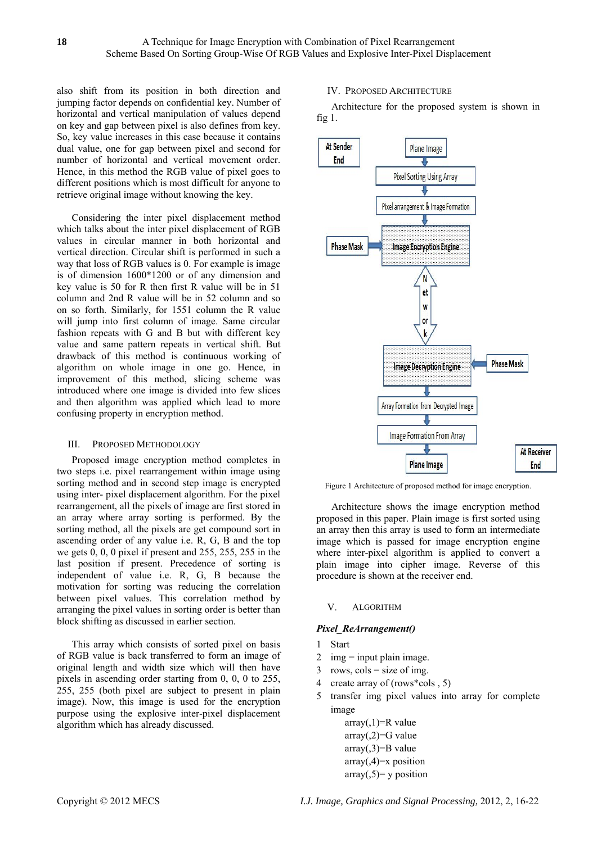also shift from its position in both direction and jumping factor depends on confidential key. Number of horizontal and vertical manipulation of values depend on key and gap between pixel is also defines from key. So, key value increases in this case because it contains dual value, one for gap between pixel and second for number of horizontal and vertical movement order. Hence, in this method the RGB value of pixel goes to different positions which is most difficult for anyone to retrieve original image without knowing the key.

Considering the inter pixel displacement method which talks about the inter pixel displacement of RGB values in circular manner in both horizontal and vertical direction. Circular shift is performed in such a way that loss of RGB values is 0. For example is image is of dimension 1600\*1200 or of any dimension and key value is 50 for R then first R value will be in 51 column and 2nd R value will be in 52 column and so on so forth. Similarly, for 1551 column the R value will jump into first column of image. Same circular fashion repeats with G and B but with different key value and same pattern repeats in vertical shift. But drawback of this method is continuous working of algorithm on whole image in one go. Hence, in improvement of this method, slicing scheme was introduced where one image is divided into few slices and then algorithm was applied which lead to more confusing property in encryption method.

# III. PROPOSED METHODOLOGY

Proposed image encryption method completes in two steps i.e. pixel rearrangement within image using sorting method and in second step image is encrypted using inter- pixel displacement algorithm. For the pixel rearrangement, all the pixels of image are first stored in an array where array sorting is performed. By the sorting method, all the pixels are get compound sort in ascending order of any value i.e. R, G, B and the top we gets 0, 0, 0 pixel if present and 255, 255, 255 in the last position if present. Precedence of sorting is independent of value i.e. R, G, B because the motivation for sorting was reducing the correlation between pixel values. This correlation method by arranging the pixel values in sorting order is better than block shifting as discussed in earlier section.

This array which consists of sorted pixel on basis of RGB value is back transferred to form an image of original length and width size which will then have pixels in ascending order starting from 0, 0, 0 to 255, 255, 255 (both pixel are subject to present in plain image). Now, this image is used for the encryption purpose using the explosive inter-pixel displacement algorithm which has already discussed.

# IV. PROPOSED ARCHITECTURE

Architecture for the proposed system is shown in fig 1.



Figure 1 Architecture of proposed method for image encryption.

Architecture shows the image encryption method proposed in this paper. Plain image is first sorted using an array then this array is used to form an intermediate image which is passed for image encryption engine where inter-pixel algorithm is applied to convert a plain image into cipher image. Reverse of this procedure is shown at the receiver end.

## V. ALGORITHM

# *Pixel\_ReArrangement()*

## 1 Start

- 2 img  $=$  input plain image.
- $3$  rows,  $\text{cols} = \text{size of img}$ .
- 4 create array of (rows\*cols , 5)
- 5 transfer img pixel values into array for complete image

 $array(1)=R$  value  $array(2)=G$  value  $array(0,3)=B$  value  $array(4)=x$  position  $array(5)=y$  position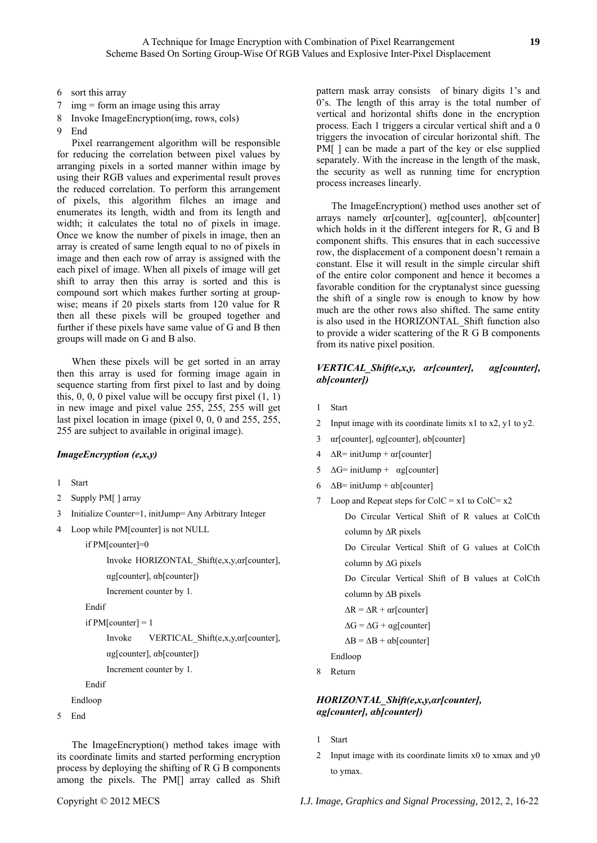- 6 sort this array
- 7 img = form an image using this array
- 8 Invoke ImageEncryption(img, rows, cols)
- 9 End

Pixel rearrangement algorithm will be responsible for reducing the correlation between pixel values by arranging pixels in a sorted manner within image by using their RGB values and experimental result proves the reduced correlation. To perform this arrangement of pixels, this algorithm filches an image and enumerates its length, width and from its length and width; it calculates the total no of pixels in image. Once we know the number of pixels in image, then an array is created of same length equal to no of pixels in image and then each row of array is assigned with the each pixel of image. When all pixels of image will get shift to array then this array is sorted and this is compound sort which makes further sorting at groupwise; means if 20 pixels starts from 120 value for R then all these pixels will be grouped together and further if these pixels have same value of G and B then groups will made on G and B also.

When these pixels will be get sorted in an array then this array is used for forming image again in sequence starting from first pixel to last and by doing this,  $0$ ,  $0$ ,  $0$  pixel value will be occupy first pixel  $(1, 1)$ in new image and pixel value 255, 255, 255 will get last pixel location in image (pixel 0, 0, 0 and 255, 255, 255 are subject to available in original image).

# *ImageEncryption (e,x,y)*

- 1 Start
- 2 Supply PM[ ] array
- 3 Initialize Counter=1, initJump= Any Arbitrary Integer
- 4 Loop while PM[counter] is not NULL

if PM[counter]=0

Invoke HORIZONTAL\_Shift(e,x,y,αr[counter], αg[counter], αb[counter])

Increment counter by 1.

Endif

```
if PM[counter] = 1
```
Invoke VERTICAL\_Shift(e,x,y,αr[counter],

```
αg[counter], αb[counter])
```
Increment counter by 1.

Endif

Endloop

```
5 End
```
The ImageEncryption() method takes image with its coordinate limits and started performing encryption process by deploying the shifting of R G B components among the pixels. The PM[] array called as Shift pattern mask array consists of binary digits 1's and 0's. The length of this array is the total number of vertical and horizontal shifts done in the encryption process. Each 1 triggers a circular vertical shift and a 0 triggers the invocation of circular horizontal shift. The PM[ ] can be made a part of the key or else supplied separately. With the increase in the length of the mask, the security as well as running time for encryption process increases linearly.

The ImageEncryption() method uses another set of arrays namely αr[counter], αg[counter], αb[counter] which holds in it the different integers for R, G and B component shifts. This ensures that in each successive row, the displacement of a component doesn't remain a constant. Else it will result in the simple circular shift of the entire color component and hence it becomes a favorable condition for the cryptanalyst since guessing the shift of a single row is enough to know by how much are the other rows also shifted. The same entity is also used in the HORIZONTAL\_Shift function also to provide a wider scattering of the R G B components from its native pixel position.

# *VERTICAL\_Shift(e,x,y, αr[counter], αg[counter], αb[counter])*

- 1 Start
- 2 Input image with its coordinate limits x1 to x2, y1 to y2.
- 3 αr[counter], αg[counter], αb[counter]
- $4 \Delta R = \text{initJump} + \alpha r[\text{counter}]$
- 5  $\Delta G$ = initJump +  $\alpha$ g[counter]
- 6  $\Delta B$ = initJump +  $\alpha b$ [counter]
- 7 Loop and Repeat steps for  $ColC = x1$  to  $ColC = x2$

Do Circular Vertical Shift of R values at ColCth column by ∆R pixels

Do Circular Vertical Shift of G values at ColCth column by ∆G pixels

Do Circular Vertical Shift of B values at ColCth

column by ∆B pixels

```
\Delta R = \Delta R + \alpha r[counter]
```

```
\Delta G = \Delta G + \alpha g[counter]
```
 $\Delta B = \Delta B + \alpha b$ [counter]

Endloop

8 Return

# *HORIZONTAL\_Shift(e,x,y,αr[counter], αg[counter], αb[counter])*

- 1 Start
- 2 Input image with its coordinate limits x0 to xmax and y0 to ymax.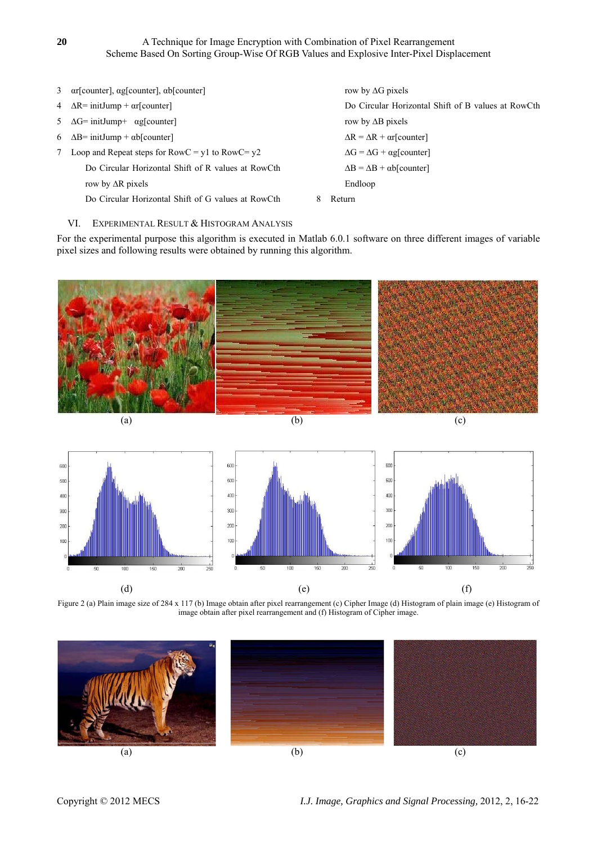| 3 $\alpha$ [counter], $\alpha$ g[counter], $\alpha$ b[counter] | row by $\Delta G$ pixels                           |
|----------------------------------------------------------------|----------------------------------------------------|
| 4 $\Delta R$ = initJump + $\alpha$ r[counter]                  | Do Circular Horizontal Shift of B values at RowCth |
| 5 $\Delta G$ = initJump+ $\alpha g$ [counter]                  | row by $\Delta B$ pixels                           |
| 6 $\Delta B$ = initJump + $\alpha b$ [counter]                 | $\Delta R = \Delta R + \alpha r$ [counter]         |
| Loop and Repeat steps for $RowC = y1$ to $RowC = y2$           | $\Delta G = \Delta G + \alpha g$ [counter]         |
| Do Circular Horizontal Shift of R values at RowCth             | $\Delta B = \Delta B + \alpha b$ [counter]         |
| row by $\Delta R$ pixels                                       | Endloop                                            |
| Do Circular Horizontal Shift of G values at RowCth             | Return                                             |

# VI. EXPERIMENTAL RESULT & HISTOGRAM ANALYSIS

For the experimental purpose this algorithm is executed in Matlab 6.0.1 software on three different images of variable pixel sizes and following results were obtained by running this algorithm.



Figure 2 (a) Plain image size of 284 x 117 (b) Image obtain after pixel rearrangement (c) Cipher Image (d) Histogram of plain image (e) Histogram of image obtain after pixel rearrangement and (f) Histogram of Cipher image.

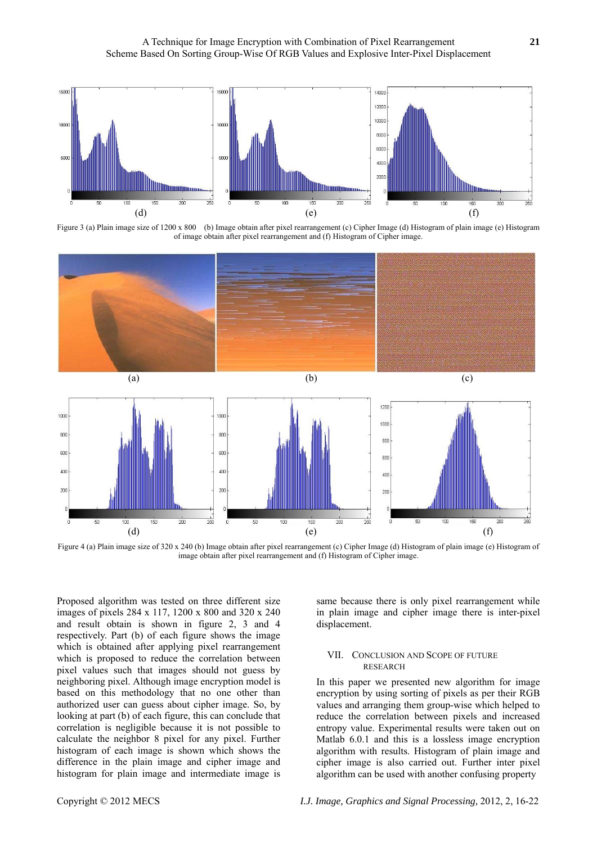

Figure 3 (a) Plain image size of 1200 x 800 (b) Image obtain after pixel rearrangement (c) Cipher Image (d) Histogram of plain image (e) Histogram of image obtain after pixel rearrangement and (f) Histogram of Cipher image.



Figure 4 (a) Plain image size of 320 x 240 (b) Image obtain after pixel rearrangement (c) Cipher Image (d) Histogram of plain image (e) Histogram of image obtain after pixel rearrangement and (f) Histogram of Cipher image.

Proposed algorithm was tested on three different size images of pixels 284 x 117, 1200 x 800 and 320 x 240 and result obtain is shown in figure 2, 3 and 4 respectively. Part (b) of each figure shows the image which is obtained after applying pixel rearrangement which is proposed to reduce the correlation between pixel values such that images should not guess by neighboring pixel. Although image encryption model is based on this methodology that no one other than authorized user can guess about cipher image. So, by looking at part (b) of each figure, this can conclude that correlation is negligible because it is not possible to calculate the neighbor 8 pixel for any pixel. Further histogram of each image is shown which shows the difference in the plain image and cipher image and histogram for plain image and intermediate image is

same because there is only pixel rearrangement while in plain image and cipher image there is inter-pixel displacement.

#### VII. CONCLUSION AND SCOPE OF FUTURE RESEARCH

In this paper we presented new algorithm for image encryption by using sorting of pixels as per their RGB values and arranging them group-wise which helped to reduce the correlation between pixels and increased entropy value. Experimental results were taken out on Matlab 6.0.1 and this is a lossless image encryption algorithm with results. Histogram of plain image and cipher image is also carried out. Further inter pixel algorithm can be used with another confusing property